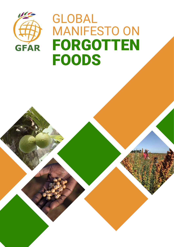

# GLOBAL MANIFESTO ON FORGOTTEN FOODS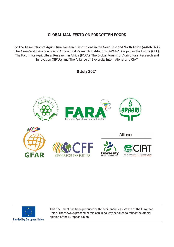# **GLOBAL MANIFESTO ON FORGOTTEN FOODS**

By: The Association of Agricultural Research Institutions in the Near East and North Africa (AARINENA); The Asia-Pacific Association of Agricultural Research Institutions (APAARI; Crops For the Future (CFF); The Forum for Agricultural Research in Africa (FARA); The Global Forum for Agricultural Research and Innovation (GFAR); and The Alliance of Bioversity International and CIAT

# **8 July 2021**





This document has been produced with the financial assistance of the European Union. The views expressed herein can in no way be taken to reflect the official opinion of the European Union.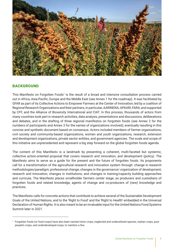

# **BACKGROUND**

This Manifesto on Forgotten Foods<sup>1</sup> is the result of a broad and intensive consultation process carried out in Africa, Asia-Pacific, Europe and the Middle East (see Annex 1 for the roadmap). It was facilitated by GFAR as part of its Collective Actions to Empower Farmers at the Center of Innovation; led by a coalition of Regional Research Organizations and their partners, in particular, AARINENA, APAARI, FARA; and supported by CFF, and the Alliance of Bioversity International and CIAT. In this process, thousands of actors from many countries took part in research activities, data analysis, presentations and discussions, deliberations and debates, and in the drafting of three regional manifestos on forgotten foods (see Annex 2 for the numbers of participants and Annex 3 for the names of organizations involved); eventually resulting in this concise and synthetic document based on consensus. Actors included members of farmer organizations, civil society and community-based organizations, women and youth organizations, research, extension and development organizations, private sector entities, and government agencies. The scale and scope of this initiative are unprecedented and represent a big step forward on the global forgotten foods agenda.

The content of this Manifesto is a landmark by presenting a coherent, multi-faceted but systemic, collective action-oriented proposal that covers research and innovation, and development (policy). The Manifesto aims to serve as a guide for the present and the future of forgotten foods. Its proponents call for a transformation of the agricultural research and innovation system through: change in research methodologies/paradigm; professional change; changes in the governance/ organization of development, research and innovation; changes in institutions; and changes in training/capacity building approaches and curricula. The Manifesto places smallholder farmers center stage, as producers and custodians of forgotten foods and related knowledge, agents of change and co-producers of (new) knowledge and practices.

The Manifesto calls for concrete actions that contribute to achieve several of the Sustainable Development Goals of the United Nations, and to the 'Right to Food' and the 'Right to Health' embedded in the Universal Declaration of Human Rights. It is also meant to be an invaluable input for the United Nations Food Systems Summit later in 2021.

<sup>1</sup> Forgotten foods (or food crops) have also been named minor crops, neglected and underutilized species, orphan crops, poor people's crops, and underdeveloped crops, to mention a few.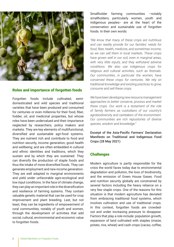

#### Roles and importance of forgotten foods

Forgotten foods include cultivated, semidomesticated and wild species and traditional varieties that have been produced and consumed for centuries or even millennia for their food, fiber, fodder, oil, and medicinal properties, but whose roles have been undervalued and their importance neglected by researchers, policy makers and markets. They are key elements of multifunctional, diversified and sustainable agri-food systems. They are nutrient rich and contribute to food and nutrition security, income generation, good health and wellbeing; and are often embedded in cultural and ethnic identities and traditions, which they sustain and by which they are sustained. They can diversify the production of staple foods and thus the intake of more diversified foods. They can generate employment and new income generation. They are well adapted to marginal environments and yield under unfavorable agro-ecological and low input conditions. In the face of climate change, they can play an important role in the diversification and resilience of farming systems. They contain valuable genetic material that can be used for crop improvement and plant breeding. Last, but not least, they can be ingredients of empowerment of rural communities, notably of youth and women, through the development of activities that add social, cultural, environmental and economic value to forgotten foods.

Smallholder farming communities –notably smallholders, particularly women, youth and indigenous peoples− are at the heart of the conservation and sustainable use of forgotten foods. In their own words:

*"We know that many of these crops are nutritious and can readily provide for our families' needs for food, fiber, health, medicine, and sometimes income, as we can sell them in local markets. These crops have grown well in our soil, even in marginal areas, with very little inputs, and they withstand adverse conditions. We also use indigenous crops for religious and cultural activities, such as festivals. Our communities, in particular the women, have conserved these crops for centuries. We rely on traditional knowledge and existing practices to grow, consume and sell these crops.*

*We have been developing new resource management approaches to better conserve, process and market these crops. Our work is a testament of the role of family farmers as custodians of our country's agrobiodiversity and caretakers of the environment. Our communities are rich repositories of diverse species, wisdom and knowledge."*

Excerpt of the Asia-Pacific Farmers' Declaration Manifesto on Traditional and Indigenous Food Crops (28 May 2021)

#### **Challenges**

Modern agriculture is partly responsible for the crisis the world faces today due to environmental degradation and pollution, the loss of biodiversity, and the emission of Green House Gases. Food and nutrition security globally are constrained by several factors including the heavy reliance on a very few staple crops. One of the reasons for this situation is that modern agriculture has deviated from embracing traditional food systems, which involves cultivation and use of traditional crops. In this context, forgotten foods are crowdedout and under increasing pressure to disappear. Factors that play a role include: population growth, expansion of land cultivated with staples (maize, potato, rice, wheat) and cash crops (cacao, coffee,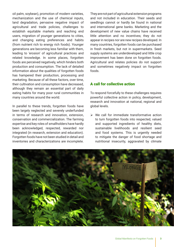oil palm, soybean), promotion of modern varieties, mechanization and the use of chemical inputs, land degradation, pervasive negative impact of agricultural and trade policies, challenges to establish equitable markets and reaching end users, migration of younger generations to cities, and changing eating preferences and habits (from nutrient rich to energy rich foods). Younger generations are becoming less familiar with them, leading to 'erosion' of agricultural practices and related knowledge. In some places, forgotten foods are perceived negatively, which hinders both production and consumption. The lack of detailed information about the qualities of forgotten foods has hampered their production, processing and marketing. Because of all these factors, over time, their cultivation and consumption have decreased, although they remain an essential part of daily eating habits for many poor rural communities in many countries around the world.

In parallel to these trends, forgotten foods have been largely neglected and severely underfunded in terms of research and innovation, extension, conservation and commercialization. The farming expertise and key roles of smallholders have hardly been acknowledged, respected, rewarded nor integrated (in research, extension and education). Forgotten foods have not been studied in detail and inventories and characterizations are incomplete.

They are not part of agricultural extension programs and not included in education. Their seeds and seedlings cannot or hardly be found in national and international gene banks. Marketing and the development of new value chains have received little attention and no incentives; they do not appear in recipes nor are new recipes developed. In many countries, forgotten foods can be purchased in fresh markets, but not in supermarkets. Seed supply systems are underdeveloped and little crop improvement has been done on forgotten foods. Agricultural and relates policies do not support and sometimes negatively impact on forgotten foods.

# A call for collective action

To respond forcefully to these challenges requires powerful collective action in policy, development, research and innovation at national, regional and global levels.

 $\triangleright$  We call for immediate transformative action to turn forgotten foods into respected, valued and supported ingredients of healthy diets, sustainable livelihoods and resilient seed and food systems. This is urgently needed to mitigate the danger of food shortage and nutritional insecurity, aggravated by climate

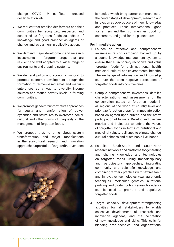change, COVID 19, conflicts, increased desertification, etc.

- $\triangleright$  We request that smallholder farmers and their communities be recognized, respected and supported as forgotten foods custodians of knowledge and good practice; as agents of change; and as partners in collective action.
- $\triangleright$  We demand major development and research investments in forgotten crops that are resilient and well adapted to a wider range of environments and cropping systems.
- $\triangleright$  We demand policy and economic support to promote economic development through the formation of farmer-based small and medium enterprises as a way to diversify income sources and reduce poverty levels in farming communities.
- $\triangleright$  We promote gender transformative approaches for equity and transformation of power dynamics and structures to overcome social, cultural and other forms of inequality in the management of forgotten foods.
- $\triangleright$  We propose that, to bring about system transformation and major modifications in the agricultural research and innovation approaches, a portfolio of targeted interventions



is needed which bring farmer communities at the center stage of development, research and innovation as co-producers of (new) knowledge and practices. These interventions −good for farmers and their communities, good for consumers, and good for the planet− are:

#### **For immediate action**

- 1. Launch an effective and comprehensive awareness raising campaign backed up by a sound knowledge management system to ensure that all in society recognize and value forgotten foods for their nutritional, health, medicinal, cultural and environmental benefits. The exchange of information and knowledge can turn the often negative perceptions of forgotten foods into positive ones.
- 2. Compile comprehensive inventories, detailed characterizations and assessments of the conservation status of forgotten foods in all regions of the world at country level and prioritize forgotten crops for immediate action based on agreed upon criteria and the active participation of farmers. Develop and use new metrics and indicators to define the values of forgotten foods in terms of nutritional and medicinal values, resilience to climate change, cultural richness and sustainable livelihoods.
- 3. Establish South-South and South-North research networks and platforms for generating and sharing knowledge and technologies on forgotten foods, using transdisciplinary and participatory approaches, integrating community and scientific knowledge, and combining farmers' practices with new research and innovative technologies (e.g. agronomic techniques, molecular genetics, nutritional profiling, and digital tools). Research evidence can be used to promote and popularize forgotten foods.
- 4. Target capacity development/strengthening activities for all stakeholders to enable collective development of research and innovation agendas, and the co-creation of new knowledge and skills. This calls for blending both technical and organizational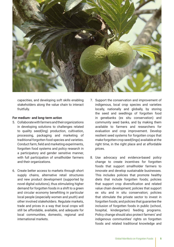

capacities, and developing soft skills enabling stakeholders along the value chain to interact fruitfully.

#### **For medium- and long-term action**

- 5. Collaborate with farmers and their organizations in developing solutions to challenges related to quality seed(ling) production, cultivation, processing, packaging and marketing of traditional forgotten food species and varieties. Conduct farm, field and marketing experiments, forgotten food systems and policy research in a participatory and gender sensitive manner, with full participation of smallholder farmers and their organizations.
- 6. Create better access to markets through short supply chains, alternative retail structures and new product development (supported by novel digital solutions), thus stimulating higher demand for forgotten foods in a shift to a green and circular economy benefitting in particular local people (especially women and youth) and other involved stakeholders. Regulate markets, trade and prices in a way that local crops will still be affordable, available, and adequate for local communities, domestic, regional and international markets.
- 7. Support the conservation and improvement of indigenous, local crop species and varieties locally, nationally and globally, by storing the seed and seedlings of forgotten food in genebanks (ex situ conservation) and community seed banks, and by making them available to farmers and researchers for evaluation and crop improvement. Develop resilient seed systems for forgotten crops that make forgotten crop seed(lings) available at the right time, in the right place and at affordable prices.
- 8. Use advocacy and evidence-based policy change to create incentives for forgotten foods that support smallholder farmers to innovate and develop sustainable businesses. This includes policies that promote healthy diets that include forgotten foods; policies that support crop diversification and related value chain development; policies that support ex situ and in situ conservation; policies that stimulate the private sector to invest in forgotten foods; and policies that guarantee the inclusion of forgotten foods in public (school, hospital, kindergarten) feeding programs. Policy change should also protect farmers' and indigenous communities' rights on forgotten foods and related traditional knowledge and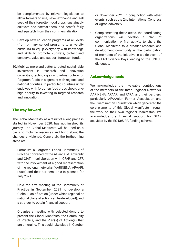be complemented by relevant legislation to allow farmers to use, save, exchange and sell seed of their forgotten food crops; sustainably cultivate and harvest them; and benefit fairly and equitably from their commercialization.

- 9. Develop new education programs at all levels (from primary school programs to university curricula) to equip everybody with knowledge and skills to promote, cultivate, protect and conserve, value and support forgotten foods.
- 10. Mobilize more and better targeted, sustainable investment in research and innovation capacities, technologies and infrastructure for forgotten foods in alignment with regional and national priorities. In particular, countries richly endowed with forgotten food crops should give high priority to investing in targeted research and innovation.

# The way forward

The Global Manifesto, as a result of a long process started in November 2020, has not finished its journey. The Global Manifesto will be used as a basis to mobilize resources and bring about the changes envisioned. Concretely, the forthcoming steps are:

- Formalize a Forgotten Foods Community of Practice convened by the Alliance of Bioversity and CIAT in collaboration with GFAR and CFF, with the involvement of a good representation of the regional networks (AARINENA, APAARI, FARA) and their partners. This is planned for July 2021.
- Hold the first meeting of the Community of Practice in September 2021 to develop a Global Plan of Action (under which regional or national plans of action can be developed), and a strategy to obtain financial support.
- Organize a meeting with selected donors to present the Global Manifesto, the Community of Practice, and the Plan(s) of Action(s) that are emerging. This could take place in October

or November 2021, in conjunction with other events, such as the 2nd International Congress of Agrobiodiversity.

• Complementing these steps, the coordinating organizations will develop a plan of communication. A first activity to share the Global Manifesto to a broader research and development community is the participation of members of the initiative in a side event of the FAO Science Days leading to the UNFSS dialogues.

## **Acknowledgements**

We acknowledge the invaluable contributions of the members of the three Regional Networks, AARINENA, APAARI and FARA, and their partners, particularly AFA/Asian Farmer Association and the Swaminathan Foundation which generated the core elements of this Global Manifesto through the work on their own regional Manifestos. We acknowledge the financial support for GFAR activities by the EC DeSIRA funding scheme.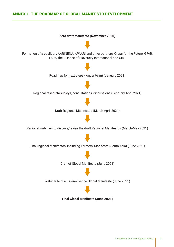# ANNEX 1. THE ROADMAP OF GLOBAL MANIFESTO DEVELOPMENT

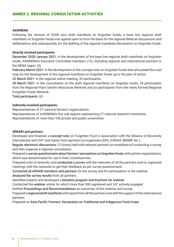#### **AARINENA**

Following the revision of GFAR zero draft manifesto on forgotten foods, a base line regional draft manifesto on forgotten foods was agreed upon to form the basis for the regional Webinar discussions and deliberations and subsequently, for the drafting of the regional manifesto/declaration on forgotten foods.

#### **Directly involved participants:**

December 2020-January 2021: in the development of the base line regional draft manifesto on forgotten foods, AARINENA's Executive Committee members (12), including regional and international partners in the NENA region (3).

February-March 2021: in the development of the concept note on forgotten foods that articulated the road map for the development of the regional manifesto on forgotten foods up to the plan of action.

22 March 2021: in the regional online meeting, 33 participants.

30 March 2021: in the consultation on the draft regional manifesto on forgotten foods, 24 participants from the Regional Plant Genetic Resources Network and six participants from the newly formed Regional Forgotten Foods Network.

Total participants: 63.

#### **Indirectly involved participants:**

Representatives of 27 national farmers' organizations.

Representatives of AARINENA's five sub-regions representing 27 national research institutions. Representatives of more than 100 private and public universities.

#### **APAARI and partners**

Developed and finalized a concept note on Forgotten Food in association with the Alliance of Bioversity International and CIAT and inputs from partners/co-organizers (AFA, ICRISAT, MSSRF etc.).

Regular electronic discussions (12 times) held with relevant partners on modalities of conducting a survey and then organize a regional consultation.

Prepared a survey questionnaire about farmers' perceptions on forgotten foods with partner organizations, which was disseminated for use in their constituencies.

Prepared a list of networks and conducted a survey with the networks of all the partners and/or organized meetings with the networks to get their feedback as per survey questionnaire.

Contacted all APAARI members and partners for the survey and for participation in the webinar.

Analyzed the survey results from all partners.

Identified experts and developed a tentative program and brochure for webinar.

Conducted the webinar online for which more than 500 registered and 247 actively engaged.

Drafted Proceedings and Recommendations as outcomes of the webinar and survey.

Prepared a regional draft manifesto with inputs from all the partners and with the support of the international partners.

Prepared an Asia-Pacific Farmers' Declaration on Traditional and Indigenous Food Crops.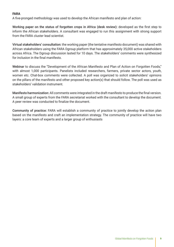## **FARA**

A five-pronged methodology was used to develop the African manifesto and plan of action:

Working paper on the status of forgotten crops in Africa (desk review): developed as the first step to inform the African stakeholders. A consultant was engaged to run this assignment with strong support from the FARA cluster lead scientist.

Virtual stakeholders' consultation: the working paper (the tentative manifesto document) was shared with African stakeholders using the FARA Dgroup platform that has approximately 35,000 active stakeholders across Africa. The Dgroup discussion lasted for 10 days. The stakeholders' comments were synthesized for inclusion in the final manifesto.

Webinar to discuss the "Development of the African Manifesto and Plan of Action on Forgotten Foods," with almost 1,000 participants. Panelists included researchers, farmers, private sector actors, youth, women etc. Chat-box comments were collected. A poll was organized to solicit stakeholders' opinions on the pillars of the manifesto and other proposed key action(s) that should follow. The poll was used as stakeholders' validation instrument.

Manifesto harmonization: All comments were integrated in the draft manifesto to produce the final version. A small group of experts from the FARA secretariat worked with the consultant to develop the document. A peer review was conducted to finalize the document.

Community of practice: FARA will establish a community of practice to jointly develop the action plan based on the manifesto and craft an implementation strategy. The community of practice will have two layers: a core team of experts and a larger group of enthusiasts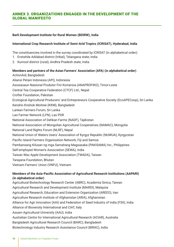# ANNEX 3. ORGANIZATIONS ENGAGED IN THE DEVELOPMENT OF THE GLOBAL MANIFESTO

#### **Barli Development Institute for Rural Women (BDIRW), India**

#### **International Crop Research Institute of Semi-Arid Tropics (ICRISAT), Hyderabad, India**

The constituencies involved in the survey coordinated by ICRISAT (in alphabetical order):

- 1. Erstwhile Adilabad district (tribal), Telangana state; India
- 2. Kurnool district (rural); Andhra Pradesh state, India

**Members and partners of the Asian Farmers' Association (AFA) (in alphabetical order)** ActionAid, Bangladesh Aliansi Petani Indonesia (API), Indonesia Asosiasaun Nasional Produtor Fini Komersia (ANAPROFIKO), Timor-Leste Central Tea Cooperative Federation (CTCF) Ltd., Nepal Crofter Foundation, Pakistan Ecological Agricultural Producers' and Entrepreneurs Cooperative Society (EcoAPECoop), Sri Lanka Kendrio Krishok Moitree (KKM), Bangladesh Lankan Farmers Forum, Sri Lanka Lao Farmer Network (LFN), Lao PDR National Association of Dehkan Farms (NADF), Tajikistan National Association of Mongolian Agricultural Cooperatives (NAMAC), Mongolia National Land Rights Forum (NLRF), Nepal National Union of Waters Users' Association of Kyrgyz Republic (NUWUA), Kyrgyzstan Pacific Island Farmers Organisation Network, Fiji and Samoa Pambansang Kilusan ng mga Samahang Magsasaka (PAKISAMA) Inc., Philippines Self-employed Women's Association (SEWA), India Taiwan Wax Apple Development Association (TWADA), Taiwan Tarayana Foundation, Bhutan Vietnam Farmers' Union (VNFU), Vietnam

## **Members of the Asia-Pacific Association of Agricultural Research Institutions (AAPARI) (in alphabetical order)**

Agricultural Biotechnology Research Center (ABRC), Academia Sinica, Taiwan Agricultural Research and Development Institute (MARDI), Malaysia Agricultural Research, Education and Extension Organization (AREEO), Iran Agriculture Research Institute of Afghanistan (ARIA), Afghanistan Alliance for Agri Innovation (AAI) and Federation of Seed Industry of India (FSII), India Alliance of Bioversity International and CIAT, Italy Assam Agricultural University (AAU), India Australian Centre for International Agricultural Research (ACIAR), Australia Bangladesh Agricultural Research Council (BARC), Bangladesh Biotechnology Industry Research Assistance Council (BIRAC), India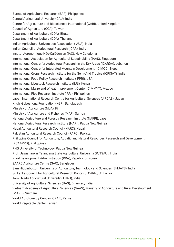Bureau of Agricultural Research (BAR), Philippines Central Agricultural University (CAU), India Centre for Agriculture and Biosciences International (CABI), United Kingdom Council of Agriculture (COA), Taiwan Department of Agriculture (DOA), Bhutan Department of Agriculture (DOA), Thailand Indian Agricultural Universities Association (IAUA), India Indian Council of Agricultural Research (ICAR), India Institut Agronomique Néo-Calédonien (IAC), New Caledonia International Association for Agricultural Sustainability (IAAS), Singapore International Centre for Agricultural Research in the Dry Areas (ICARDA), Lebanon International Centre for Integrated Mountain Development (ICIMOD), Nepal International Crops Research Institute for the Semi-Arid Tropics (ICRISAT), India International Food Policy Research Institute (IFPRI), USA International Livestock Research Institute (ILRI), Kenya International Maize and Wheat Improvement Center (CIMMYT), Mexico International Rice Research Institute (IRRI), Philippines Japan International Research Centre for Agricultural Sciences (JIRCAS), Japan Krishi Gobeshona Foundation (KGF), Bangladesh Ministry of Agriculture (MoA), Fiji Ministry of Agriculture and Fisheries (MAF), Samoa National Agriculture and Forestry Research Institute (NAFRI), Laos National Agricultural Research Institute (NARI), Papua New Guinea Nepal Agricultural Research Council (NARC), Nepal Pakistan Agricultural Research Council (PARC), Pakistan Philippine Council for Agriculture, Aquatic and Natural Resources Research and Development (PCAARRD), Philippines PNG University of Technology, Papua New Guinea Prof. Jayashankar Telangana State Agricultural University (PJTSAU), India Rural Development Administration (RDA), Republic of Korea SAARC Agriculture Centre (SAC), Bangladesh Sam Higginbottom University of Agriculture, Technology and Sciences (SHUATS), India Sri Lanka Council for Agricultural Research Policy (SLCARP), Sri Lanka Tamil Nadu Agricultural University (TNAU), India University of Agricultural Sciences (UAS), Dharwad, India Vietnam Academy of Agricultural Sciences (VAAS), Ministry of Agriculture and Rural Development (MARD), Vietnam World Agroforestry Centre (ICRAF), Kenya World Vegetable Center, Taiwan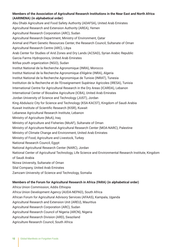## **Members of the Association of Agricultural Research Institutions in the Near East and North Africa (AARINENA) (in alphabetical order)**

Abu Dhabi Agriculture and Food Safety Authority (ADAFSA), United Arab Emirates Agricultural Research and Extension Authority (AREA), Yemen Agricultural Research Corporation (ARC), Sudan Agricultural Research Department, Ministry of Environment, Qatar Animal and Plant Genetic Resources Center, the Research Council, Sultanate of Oman Agricultural Research Centre (ARC), Libya Arab Center for Studies of Arid Zones and Dry Lands (ACSAD), Syrian Arabic Republic Garcia Farms Hydroponics, United Arab Emirates Iktifaa youth organization (NGO), Sudan Institut National de la Recherche Agronomique (INRA), Morocco Institut National de la Recherche Agronomique d'Algérie (INRA), Algeria Institut National de la Recherche Agronomique de Tunisie (INRAT), Tunesia Institution de la Recherche et de l'Enseignement Supérieur Agricoles (IRESA), Tunisia International Centre for Agricultural Research in the Dry Areas (ICARDA), Lebanon International Center of Biosaline Agriculture (ICBA), United Arab Emirates Jordan University of Science and Technology (JUST), Jordan King Abdulaziz City for Science and Technology (KSA-KACST), Kingdom of Saudi Arabia Kuwait Institute of Scientific Research (KISR), Kuwait Lebanese Agricultural Research Institute, Lebanon Ministry of Agriculture (MoA), Iraq Ministry of Agriculture and Fisheries (MoAF), Sultanate of Oman Ministry of Agriculture-National Agricultural Research Center (MOA-NARC), Palestine Ministry of Climate Change and Environment, United Arab Emirates Ministry of Food, Agriculture and Livestock, Turkey National Research Council, Egypt National Agricultural Research Center (NARC), Jordan National Center of Agricultural Technology, Life Science and Environmental Research Institute, Kingdom of Saudi Arabia Nizwa University, Sultanate of Oman Silal Company, United Arab Emirates Zamzam University of Science and Technology, Somalia

#### **Members of the Forum for Agricultural Research in Africa (FARA) (in alphabetical order)**

Africa Union Commission, Addis Ethiopia

Africa Union Development Agency (AUDA-NEPAD), South Africa

African Forum for Agricultural Advisory Services (AFAAS), Kampala, Uganda

Agricultural Research and Extension Unit (AREU), Mauritius

Agricultural Research Corporation (ARC), Sudan

Agricultural Research Council of Nigeria (ARCN), Nigeria

Agricultural Research Division (ARD), Swaziland

Agriculture Research Council, South Africa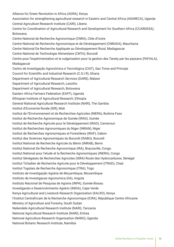Alliance for Green Revolution in Africa (AGRA), Kenya Association for strengthening agricultural research in Eastern and Central Africa (ASARECA), Uganda Central Agriculture Research Institute (CARI), Liberia Centre for Coordination of Agricultural Research and Development for Southern Africa (CCARDESA), Botswana. Centre National de Recherche Agronomique (CNRA), Côte d'Ivoire Centre National de Recherche Agronomique et de Développement (CNRADA), Mauritania Centre National De Recherche Appliquée au Développement Rural, Madagascar Centre National de Technologie Alimentaire (CNTA), Burundi Centre pour l'expérimentation et la vulgarisation pour la gestion des Tanety par les paysans (FAFIALA), Madagascar Centro de Investigação Agronómica e Tecnológica (CIAT), Sao Tome and Principe Council for Scientific and Industrial Research (C.S.I.R), Ghana Department of Agricultural Research Services (DARS), Malawi Department of Agricultural Research, Lesotho Department of Agricultural Research, Botswana Eastern Africa Farmers Federation (EAFF), Uganda Ethiopian Institute of Agricultural Research, Ethiopia General National Agricultural Research Institute (NARI), The Gambia Institut d'Economie Rurale (IER), Mali Institut de l'Environnement et de Recherches Agricoles (INERA), Burkina Faso Institut de Recherche Agronomique de Guinée (IRAG), Guinée Institut de Recherche Agricole pour le Développement (IRAD), Cameroun Institut de Recherches Agronomiques du Niger (INRAN), Niger Institut de Recherches Agronomiques et Forestières (IRAF), Gabon Institut des Sciences Agronomiques du Burundi (ISABU), Burundi Institut National de Recherche Agricole du Bénin (INRAB), Benin Institut National De Recherche Agronomique (IRA), Brazzaville, Congo Institut National pour l'etude et la Recherche Agronomiques (INERA), Congo Institut Sénégalais de Recherches Agricoles (ISRA) Route des Hydrocarbures, Sénégal Institut Tchadien de Recherche Agricole pour le Développement (ITRAD), Chad Institut Togolais de Recherche Agronomique (ITRA), Togo Instituto de Investigação Agrária de Moçambique, Mozambique Instituto de Investigacao Agronomica (IIA), Angola Instituto Nacional de Pesquisa de Agraria (INPA), Guinée Bissau Investigacäo e Desenvolvimento Agrärio (INIDA), Cape Verde Kenya Agricultural and Livestock Research Organization (KALRO), Kenya l'Institut Centrafricain de la Recherche Agronomique (ICRA), République Centre Africaine Ministry of Agriculture and Forestry, South Sudan Naliendele Agricultural Research Institute (NARI), Tanzania National Agricultural Research Institute (NARI), Eritrea National Agriculture Research Organisation (NARO), Uganda National Botanic Research Institute, Namibia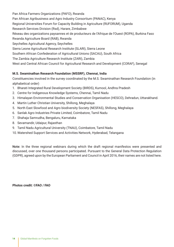Pan Africa Farmers Organizations (PAFO), Rwanda Pan African Agribusiness and Agro Industry Consortium (PANAC), Kenya Regional Universities Forum for Capacity Building in Agriculture (RUFORUM), Uganda Research Services Division (Rsd), Harare, Zimbabwe Réseau des organizations paysannes et de producteurs de l'Afrique de l'Ouest (ROPA), Burkina Faso Rwanda Agriculture Board (RAB), Rwanda Seychelles Agricultural Agency, Seychelles Sierra Leone Agricultural Research Institute (SLARI), Sierra Leone Southern African Confederation of Agricultural Unions (SACAU), South Africa The Zambia Agriculture Research Institute (ZARI), Zambia West and Central African Council for Agricultural Research and Development (CORAF), Senegal

# **M.S. Swaminathan Research Foundation (MSSRF), Chennai, India**

Constituencies involved in the survey coordinated by the M.S. Swaminathan Research Foundation (in alphabetical order)

- 1. Bharati Integrated Rural Development Society (BIRDS), Kurnool, Andhra Pradesh
- 2. Centre for Indigenous Knowledge Systems, Chennai, Tamil Nadu
- 3. Himalayan Environmental Studies and Conservation Organisation (HESCO), Dehradun, Uttarakhand.
- 4. Martin Luther Christian University, Shillong, Meghalaya
- 5. North East Slowfood and Agro biodiversity Society (NESFAS), Shillong, Meghalaya
- 6. Sanlak Agro Industries Private Limited, Coimbatore, Tamil Nadu
- 7. Shahaja Samrudha, Bengaluru, Karnataka
- 8. Sevamandir, Udaipur, Rajasthan
- 9. Tamil Nadu Agricultural University (TNAU), Coimbatore, Tamil Nadu
- 10. Watershed Support Services and Activities Network, Hyderabad, Telangana

Note: In the three regional webinars during which the draft regional manifestos were presented and discussed, over one thousand persons participated. Pursuant to the General Data Protection Regulation (GDPR), agreed upon by the European Parliament and Council in April 2016, their names are not listed here.

**Photos credit: ©FAO / FAO**